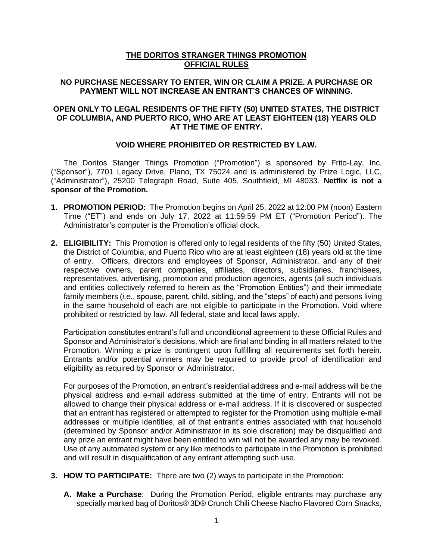### **THE DORITOS STRANGER THINGS PROMOTION OFFICIAL RULES**

# **NO PURCHASE NECESSARY TO ENTER, WIN OR CLAIM A PRIZE. A PURCHASE OR PAYMENT WILL NOT INCREASE AN ENTRANT'S CHANCES OF WINNING.**

### **OPEN ONLY TO LEGAL RESIDENTS OF THE FIFTY (50) UNITED STATES, THE DISTRICT OF COLUMBIA, AND PUERTO RICO, WHO ARE AT LEAST EIGHTEEN (18) YEARS OLD AT THE TIME OF ENTRY.**

#### **VOID WHERE PROHIBITED OR RESTRICTED BY LAW.**

The Doritos Stanger Things Promotion ("Promotion") is sponsored by Frito-Lay, Inc. ("Sponsor"), 7701 Legacy Drive, Plano, TX 75024 and is administered by Prize Logic, LLC, ("Administrator"), 25200 Telegraph Road, Suite 405, Southfield, MI 48033. **Netflix is not a sponsor of the Promotion.** 

- **1. PROMOTION PERIOD:** The Promotion begins on April 25, 2022 at 12:00 PM (noon) Eastern Time ("ET") and ends on July 17, 2022 at 11:59:59 PM ET ("Promotion Period"). The Administrator's computer is the Promotion's official clock.
- **2. ELIGIBILITY:** This Promotion is offered only to legal residents of the fifty (50) United States, the District of Columbia, and Puerto Rico who are at least eighteen (18) years old at the time of entry. Officers, directors and employees of Sponsor, Administrator, and any of their respective owners, parent companies, affiliates, directors, subsidiaries, franchisees, representatives, advertising, promotion and production agencies, agents (all such individuals and entities collectively referred to herein as the "Promotion Entities") and their immediate family members (*i.e.*, spouse, parent, child, sibling, and the "steps" of each) and persons living in the same household of each are not eligible to participate in the Promotion. Void where prohibited or restricted by law. All federal, state and local laws apply.

Participation constitutes entrant's full and unconditional agreement to these Official Rules and Sponsor and Administrator's decisions, which are final and binding in all matters related to the Promotion. Winning a prize is contingent upon fulfilling all requirements set forth herein. Entrants and/or potential winners may be required to provide proof of identification and eligibility as required by Sponsor or Administrator.

For purposes of the Promotion, an entrant's residential address and e-mail address will be the physical address and e-mail address submitted at the time of entry. Entrants will not be allowed to change their physical address or e-mail address. If it is discovered or suspected that an entrant has registered or attempted to register for the Promotion using multiple e-mail addresses or multiple identities, all of that entrant's entries associated with that household (determined by Sponsor and/or Administrator in its sole discretion) may be disqualified and any prize an entrant might have been entitled to win will not be awarded any may be revoked. Use of any automated system or any like methods to participate in the Promotion is prohibited and will result in disqualification of any entrant attempting such use.

- **3. HOW TO PARTICIPATE:** There are two (2) ways to participate in the Promotion:
	- **A. Make a Purchase**: During the Promotion Period, eligible entrants may purchase any specially marked bag of Doritos® 3D® Crunch Chili Cheese Nacho Flavored Corn Snacks,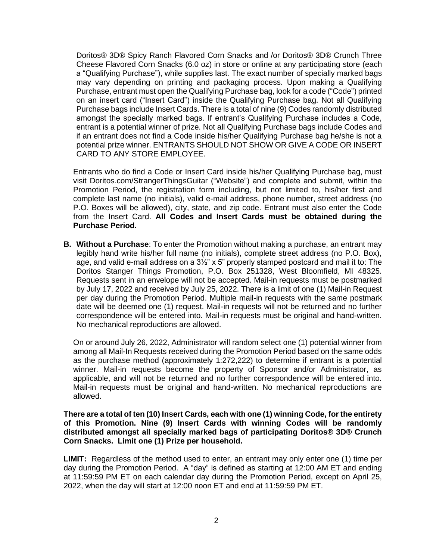Doritos® 3D® Spicy Ranch Flavored Corn Snacks and /or Doritos® 3D® Crunch Three Cheese Flavored Corn Snacks (6.0 oz) in store or online at any participating store (each a "Qualifying Purchase"), while supplies last. The exact number of specially marked bags may vary depending on printing and packaging process. Upon making a Qualifying Purchase, entrant must open the Qualifying Purchase bag, look for a code ("Code") printed on an insert card ("Insert Card") inside the Qualifying Purchase bag. Not all Qualifying Purchase bags include Insert Cards. There is a total of nine (9) Codes randomly distributed amongst the specially marked bags. If entrant's Qualifying Purchase includes a Code, entrant is a potential winner of prize. Not all Qualifying Purchase bags include Codes and if an entrant does not find a Code inside his/her Qualifying Purchase bag he/she is not a potential prize winner. ENTRANTS SHOULD NOT SHOW OR GIVE A CODE OR INSERT CARD TO ANY STORE EMPLOYEE.

Entrants who do find a Code or Insert Card inside his/her Qualifying Purchase bag, must visit Doritos.com/StrangerThingsGuitar ("Website") and complete and submit, within the Promotion Period, the registration form including, but not limited to, his/her first and complete last name (no initials), valid e-mail address, phone number, street address (no P.O. Boxes will be allowed), city, state, and zip code. Entrant must also enter the Code from the Insert Card. **All Codes and Insert Cards must be obtained during the Purchase Period.** 

**B. Without a Purchase**: To enter the Promotion without making a purchase, an entrant may legibly hand write his/her full name (no initials), complete street address (no P.O. Box), age, and valid e-mail address on a  $3\frac{1}{2}$ " x 5" properly stamped postcard and mail it to: The Doritos Stanger Things Promotion, P.O. Box 251328, West Bloomfield, MI 48325. Requests sent in an envelope will not be accepted. Mail-in requests must be postmarked by July 17, 2022 and received by July 25, 2022. There is a limit of one (1) Mail-in Request per day during the Promotion Period. Multiple mail-in requests with the same postmark date will be deemed one (1) request. Mail-in requests will not be returned and no further correspondence will be entered into. Mail-in requests must be original and hand-written. No mechanical reproductions are allowed.

On or around July 26, 2022, Administrator will random select one (1) potential winner from among all Mail-In Requests received during the Promotion Period based on the same odds as the purchase method (approximately 1:272,222) to determine if entrant is a potential winner. Mail-in requests become the property of Sponsor and/or Administrator, as applicable, and will not be returned and no further correspondence will be entered into. Mail-in requests must be original and hand-written. No mechanical reproductions are allowed.

**There are a total of ten (10) Insert Cards, each with one (1) winning Code, for the entirety of this Promotion. Nine (9) Insert Cards with winning Codes will be randomly distributed amongst all specially marked bags of participating Doritos® 3D® Crunch Corn Snacks. Limit one (1) Prize per household.** 

**LIMIT:** Regardless of the method used to enter, an entrant may only enter one (1) time per day during the Promotion Period. A "day" is defined as starting at 12:00 AM ET and ending at 11:59:59 PM ET on each calendar day during the Promotion Period, except on April 25, 2022, when the day will start at 12:00 noon ET and end at 11:59:59 PM ET.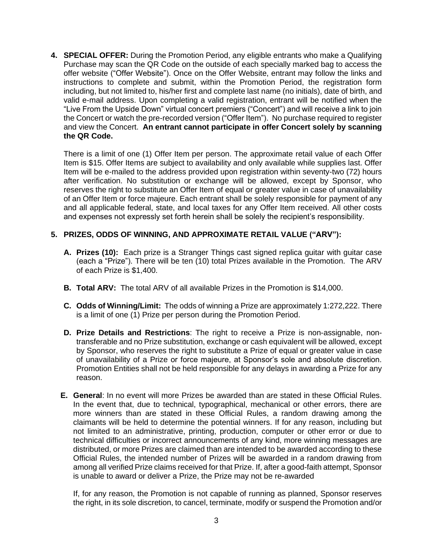**4. SPECIAL OFFER:** During the Promotion Period, any eligible entrants who make a Qualifying Purchase may scan the QR Code on the outside of each specially marked bag to access the offer website ("Offer Website"). Once on the Offer Website, entrant may follow the links and instructions to complete and submit, within the Promotion Period, the registration form including, but not limited to, his/her first and complete last name (no initials), date of birth, and valid e-mail address. Upon completing a valid registration, entrant will be notified when the "Live From the Upside Down" virtual concert premiers ("Concert") and will receive a link to join the Concert or watch the pre-recorded version ("Offer Item"). No purchase required to register and view the Concert. **An entrant cannot participate in offer Concert solely by scanning the QR Code.**

There is a limit of one (1) Offer Item per person. The approximate retail value of each Offer Item is \$15. Offer Items are subject to availability and only available while supplies last. Offer Item will be e-mailed to the address provided upon registration within seventy-two (72) hours after verification. No substitution or exchange will be allowed, except by Sponsor, who reserves the right to substitute an Offer Item of equal or greater value in case of unavailability of an Offer Item or force majeure. Each entrant shall be solely responsible for payment of any and all applicable federal, state, and local taxes for any Offer Item received. All other costs and expenses not expressly set forth herein shall be solely the recipient's responsibility.

# **5. PRIZES, ODDS OF WINNING, AND APPROXIMATE RETAIL VALUE ("ARV"):**

- **A. Prizes (10):** Each prize is a Stranger Things cast signed replica guitar with guitar case (each a "Prize"). There will be ten (10) total Prizes available in the Promotion. The ARV of each Prize is \$1,400.
- **B. Total ARV:** The total ARV of all available Prizes in the Promotion is \$14,000.
- **C. Odds of Winning/Limit:** The odds of winning a Prize are approximately 1:272,222. There is a limit of one (1) Prize per person during the Promotion Period.
- **D. Prize Details and Restrictions**: The right to receive a Prize is non-assignable, nontransferable and no Prize substitution, exchange or cash equivalent will be allowed, except by Sponsor, who reserves the right to substitute a Prize of equal or greater value in case of unavailability of a Prize or force majeure, at Sponsor's sole and absolute discretion. Promotion Entities shall not be held responsible for any delays in awarding a Prize for any reason.
- **E. General**: In no event will more Prizes be awarded than are stated in these Official Rules. In the event that, due to technical, typographical, mechanical or other errors, there are more winners than are stated in these Official Rules, a random drawing among the claimants will be held to determine the potential winners. If for any reason, including but not limited to an administrative, printing, production, computer or other error or due to technical difficulties or incorrect announcements of any kind, more winning messages are distributed, or more Prizes are claimed than are intended to be awarded according to these Official Rules, the intended number of Prizes will be awarded in a random drawing from among all verified Prize claims received for that Prize. If, after a good-faith attempt, Sponsor is unable to award or deliver a Prize, the Prize may not be re-awarded

If, for any reason, the Promotion is not capable of running as planned, Sponsor reserves the right, in its sole discretion, to cancel, terminate, modify or suspend the Promotion and/or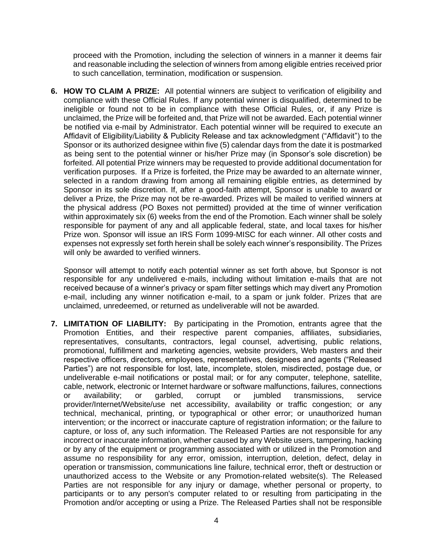proceed with the Promotion, including the selection of winners in a manner it deems fair and reasonable including the selection of winners from among eligible entries received prior to such cancellation, termination, modification or suspension.

**6. HOW TO CLAIM A PRIZE:** All potential winners are subject to verification of eligibility and compliance with these Official Rules. If any potential winner is disqualified, determined to be ineligible or found not to be in compliance with these Official Rules, or, if any Prize is unclaimed, the Prize will be forfeited and, that Prize will not be awarded. Each potential winner be notified via e-mail by Administrator. Each potential winner will be required to execute an Affidavit of Eligibility/Liability & Publicity Release and tax acknowledgment ("Affidavit") to the Sponsor or its authorized designee within five (5) calendar days from the date it is postmarked as being sent to the potential winner or his/her Prize may (in Sponsor's sole discretion) be forfeited. All potential Prize winners may be requested to provide additional documentation for verification purposes. If a Prize is forfeited, the Prize may be awarded to an alternate winner, selected in a random drawing from among all remaining eligible entries, as determined by Sponsor in its sole discretion. If, after a good-faith attempt, Sponsor is unable to award or deliver a Prize, the Prize may not be re-awarded. Prizes will be mailed to verified winners at the physical address (PO Boxes not permitted) provided at the time of winner verification within approximately six (6) weeks from the end of the Promotion. Each winner shall be solely responsible for payment of any and all applicable federal, state, and local taxes for his/her Prize won. Sponsor will issue an IRS Form 1099-MISC for each winner. All other costs and expenses not expressly set forth herein shall be solely each winner's responsibility. The Prizes will only be awarded to verified winners.

Sponsor will attempt to notify each potential winner as set forth above, but Sponsor is not responsible for any undelivered e-mails, including without limitation e-mails that are not received because of a winner's privacy or spam filter settings which may divert any Promotion e-mail, including any winner notification e-mail, to a spam or junk folder. Prizes that are unclaimed, unredeemed, or returned as undeliverable will not be awarded.

**7. LIMITATION OF LIABILITY:** By participating in the Promotion, entrants agree that the Promotion Entities, and their respective parent companies, affiliates, subsidiaries, representatives, consultants, contractors, legal counsel, advertising, public relations, promotional, fulfillment and marketing agencies, website providers, Web masters and their respective officers, directors, employees, representatives, designees and agents ("Released Parties") are not responsible for lost, late, incomplete, stolen, misdirected, postage due, or undeliverable e-mail notifications or postal mail; or for any computer, telephone, satellite, cable, network, electronic or Internet hardware or software malfunctions, failures, connections or availability; or garbled, corrupt or jumbled transmissions, service provider/Internet/Website/use net accessibility, availability or traffic congestion; or any technical, mechanical, printing, or typographical or other error; or unauthorized human intervention; or the incorrect or inaccurate capture of registration information; or the failure to capture, or loss of, any such information. The Released Parties are not responsible for any incorrect or inaccurate information, whether caused by any Website users, tampering, hacking or by any of the equipment or programming associated with or utilized in the Promotion and assume no responsibility for any error, omission, interruption, deletion, defect, delay in operation or transmission, communications line failure, technical error, theft or destruction or unauthorized access to the Website or any Promotion-related website(s). The Released Parties are not responsible for any injury or damage, whether personal or property, to participants or to any person's computer related to or resulting from participating in the Promotion and/or accepting or using a Prize. The Released Parties shall not be responsible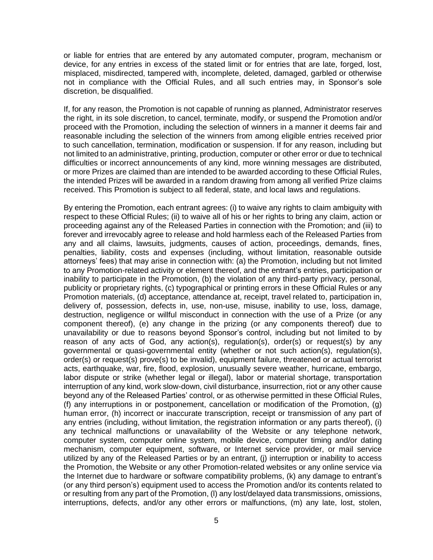or liable for entries that are entered by any automated computer, program, mechanism or device, for any entries in excess of the stated limit or for entries that are late, forged, lost, misplaced, misdirected, tampered with, incomplete, deleted, damaged, garbled or otherwise not in compliance with the Official Rules, and all such entries may, in Sponsor's sole discretion, be disqualified.

If, for any reason, the Promotion is not capable of running as planned, Administrator reserves the right, in its sole discretion, to cancel, terminate, modify, or suspend the Promotion and/or proceed with the Promotion, including the selection of winners in a manner it deems fair and reasonable including the selection of the winners from among eligible entries received prior to such cancellation, termination, modification or suspension. If for any reason, including but not limited to an administrative, printing, production, computer or other error or due to technical difficulties or incorrect announcements of any kind, more winning messages are distributed, or more Prizes are claimed than are intended to be awarded according to these Official Rules, the intended Prizes will be awarded in a random drawing from among all verified Prize claims received. This Promotion is subject to all federal, state, and local laws and regulations.

By entering the Promotion, each entrant agrees: (i) to waive any rights to claim ambiguity with respect to these Official Rules; (ii) to waive all of his or her rights to bring any claim, action or proceeding against any of the Released Parties in connection with the Promotion; and (iii) to forever and irrevocably agree to release and hold harmless each of the Released Parties from any and all claims, lawsuits, judgments, causes of action, proceedings, demands, fines, penalties, liability, costs and expenses (including, without limitation, reasonable outside attorneys' fees) that may arise in connection with: (a) the Promotion, including but not limited to any Promotion-related activity or element thereof, and the entrant's entries, participation or inability to participate in the Promotion, (b) the violation of any third-party privacy, personal, publicity or proprietary rights, (c) typographical or printing errors in these Official Rules or any Promotion materials, (d) acceptance, attendance at, receipt, travel related to, participation in, delivery of, possession, defects in, use, non-use, misuse, inability to use, loss, damage, destruction, negligence or willful misconduct in connection with the use of a Prize (or any component thereof), (e) any change in the prizing (or any components thereof) due to unavailability or due to reasons beyond Sponsor's control, including but not limited to by reason of any acts of God, any action(s), regulation(s), order(s) or request(s) by any governmental or quasi-governmental entity (whether or not such action(s), regulation(s), order(s) or request(s) prove(s) to be invalid), equipment failure, threatened or actual terrorist acts, earthquake, war, fire, flood, explosion, unusually severe weather, hurricane, embargo, labor dispute or strike (whether legal or illegal), labor or material shortage, transportation interruption of any kind, work slow-down, civil disturbance, insurrection, riot or any other cause beyond any of the Released Parties' control, or as otherwise permitted in these Official Rules, (f) any interruptions in or postponement, cancellation or modification of the Promotion, (g) human error, (h) incorrect or inaccurate transcription, receipt or transmission of any part of any entries (including, without limitation, the registration information or any parts thereof), (i) any technical malfunctions or unavailability of the Website or any telephone network, computer system, computer online system, mobile device, computer timing and/or dating mechanism, computer equipment, software, or Internet service provider, or mail service utilized by any of the Released Parties or by an entrant, (j) interruption or inability to access the Promotion, the Website or any other Promotion-related websites or any online service via the Internet due to hardware or software compatibility problems, (k) any damage to entrant's (or any third person's) equipment used to access the Promotion and/or its contents related to or resulting from any part of the Promotion, (l) any lost/delayed data transmissions, omissions, interruptions, defects, and/or any other errors or malfunctions, (m) any late, lost, stolen,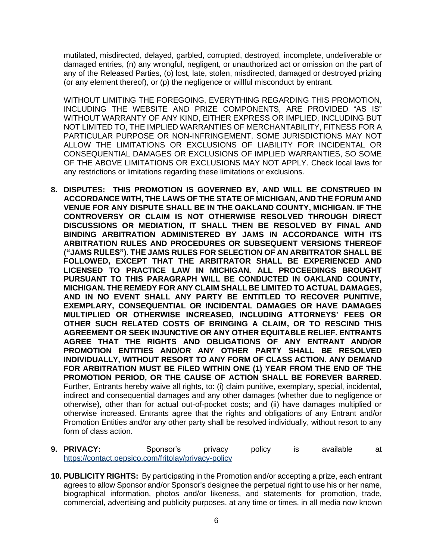mutilated, misdirected, delayed, garbled, corrupted, destroyed, incomplete, undeliverable or damaged entries, (n) any wrongful, negligent, or unauthorized act or omission on the part of any of the Released Parties, (o) lost, late, stolen, misdirected, damaged or destroyed prizing (or any element thereof), or (p) the negligence or willful misconduct by entrant.

WITHOUT LIMITING THE FOREGOING, EVERYTHING REGARDING THIS PROMOTION, INCLUDING THE WEBSITE AND PRIZE COMPONENTS, ARE PROVIDED "AS IS" WITHOUT WARRANTY OF ANY KIND, EITHER EXPRESS OR IMPLIED, INCLUDING BUT NOT LIMITED TO, THE IMPLIED WARRANTIES OF MERCHANTABILITY, FITNESS FOR A PARTICULAR PURPOSE OR NON-INFRINGEMENT. SOME JURISDICTIONS MAY NOT ALLOW THE LIMITATIONS OR EXCLUSIONS OF LIABILITY FOR INCIDENTAL OR CONSEQUENTIAL DAMAGES OR EXCLUSIONS OF IMPLIED WARRANTIES, SO SOME OF THE ABOVE LIMITATIONS OR EXCLUSIONS MAY NOT APPLY. Check local laws for any restrictions or limitations regarding these limitations or exclusions.

- **8. DISPUTES: THIS PROMOTION IS GOVERNED BY, AND WILL BE CONSTRUED IN ACCORDANCE WITH, THE LAWS OF THE STATE OF MICHIGAN, AND THE FORUM AND VENUE FOR ANY DISPUTE SHALL BE IN THE OAKLAND COUNTY, MICHIGAN. IF THE CONTROVERSY OR CLAIM IS NOT OTHERWISE RESOLVED THROUGH DIRECT DISCUSSIONS OR MEDIATION, IT SHALL THEN BE RESOLVED BY FINAL AND BINDING ARBITRATION ADMINISTERED BY JAMS IN ACCORDANCE WITH ITS ARBITRATION RULES AND PROCEDURES OR SUBSEQUENT VERSIONS THEREOF ("JAMS RULES"). THE JAMS RULES FOR SELECTION OF AN ARBITRATOR SHALL BE FOLLOWED, EXCEPT THAT THE ARBITRATOR SHALL BE EXPERIENCED AND LICENSED TO PRACTICE LAW IN MICHIGAN. ALL PROCEEDINGS BROUGHT PURSUANT TO THIS PARAGRAPH WILL BE CONDUCTED IN OAKLAND COUNTY, MICHIGAN. THE REMEDY FOR ANY CLAIM SHALL BE LIMITED TO ACTUAL DAMAGES, AND IN NO EVENT SHALL ANY PARTY BE ENTITLED TO RECOVER PUNITIVE, EXEMPLARY, CONSEQUENTIAL OR INCIDENTAL DAMAGES OR HAVE DAMAGES MULTIPLIED OR OTHERWISE INCREASED, INCLUDING ATTORNEYS' FEES OR OTHER SUCH RELATED COSTS OF BRINGING A CLAIM, OR TO RESCIND THIS AGREEMENT OR SEEK INJUNCTIVE OR ANY OTHER EQUITABLE RELIEF. ENTRANTS AGREE THAT THE RIGHTS AND OBLIGATIONS OF ANY ENTRANT AND/OR PROMOTION ENTITIES AND/OR ANY OTHER PARTY SHALL BE RESOLVED INDIVIDUALLY, WITHOUT RESORT TO ANY FORM OF CLASS ACTION. ANY DEMAND FOR ARBITRATION MUST BE FILED WITHIN ONE (1) YEAR FROM THE END OF THE PROMOTION PERIOD, OR THE CAUSE OF ACTION SHALL BE FOREVER BARRED.**  Further, Entrants hereby waive all rights, to: (i) claim punitive, exemplary, special, incidental, indirect and consequential damages and any other damages (whether due to negligence or otherwise), other than for actual out-of-pocket costs; and (ii) have damages multiplied or otherwise increased. Entrants agree that the rights and obligations of any Entrant and/or Promotion Entities and/or any other party shall be resolved individually, without resort to any form of class action.
- **9. PRIVACY:** Sponsor's privacy policy is available at <https://contact.pepsico.com/fritolay/privacy-policy>
- **10. PUBLICITY RIGHTS:** By participating in the Promotion and/or accepting a prize, each entrant agrees to allow Sponsor and/or Sponsor's designee the perpetual right to use his or her name, biographical information, photos and/or likeness, and statements for promotion, trade, commercial, advertising and publicity purposes, at any time or times, in all media now known